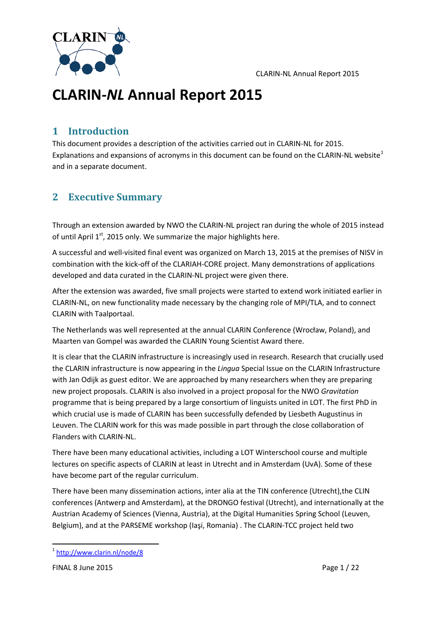

### **1 Introduction**

This document provides a description of the activities carried out in CLARIN-NL for 2015. Explanations and expansions of acronyms in this document can be found on the CLARIN-NL website<sup>[1](#page-0-0)</sup> and in a separate document.

## **2 Executive Summary**

Through an extension awarded by NWO the CLARIN-NL project ran during the whole of 2015 instead of until April  $1<sup>st</sup>$ , 2015 only. We summarize the major highlights here.

A successful and well-visited final event was organized on March 13, 2015 at the premises of NISV in combination with the kick-off of the CLARIAH-CORE project. Many demonstrations of applications developed and data curated in the CLARIN-NL project were given there.

After the extension was awarded, five small projects were started to extend work initiated earlier in CLARIN-NL, on new functionality made necessary by the changing role of MPI/TLA, and to connect CLARIN with Taalportaal.

The Netherlands was well represented at the annual CLARIN Conference (Wrocław, Poland), and Maarten van Gompel was awarded the CLARIN Young Scientist Award there.

It is clear that the CLARIN infrastructure is increasingly used in research. Research that crucially used the CLARIN infrastructure is now appearing in the *Lingua* Special Issue on the CLARIN Infrastructure with Jan Odijk as guest editor. We are approached by many researchers when they are preparing new project proposals. CLARIN is also involved in a project proposal for the NWO *Gravitation* programme that is being prepared by a large consortium of linguists united in LOT. The first PhD in which crucial use is made of CLARIN has been successfully defended by Liesbeth Augustinus in Leuven. The CLARIN work for this was made possible in part through the close collaboration of Flanders with CLARIN-NL.

There have been many educational activities, including a LOT Winterschool course and multiple lectures on specific aspects of CLARIN at least in Utrecht and in Amsterdam (UvA). Some of these have become part of the regular curriculum.

There have been many dissemination actions, inter alia at the TIN conference (Utrecht),the CLIN conferences (Antwerp and Amsterdam), at the DRONGO festival (Utrecht), and internationally at the Austrian Academy of Sciences (Vienna, Austria), at the Digital Humanities Spring School (Leuven, Belgium), and at the PARSEME workshop (Iaşi, Romania) . The CLARIN-TCC project held two

 $\ddot{\phantom{a}}$ 

<span id="page-0-0"></span><sup>1</sup> <http://www.clarin.nl/node/8>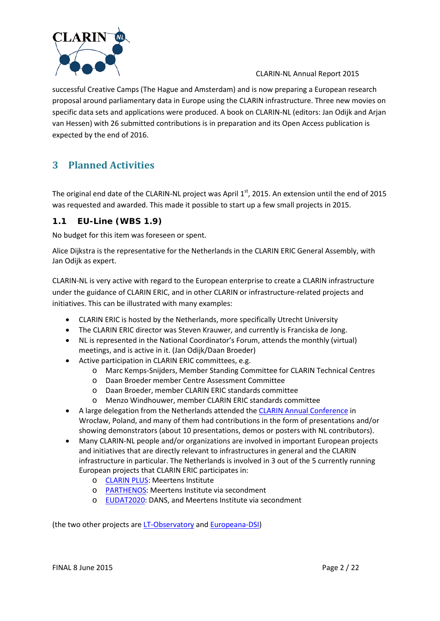

successful Creative Camps (The Hague and Amsterdam) and is now preparing a European research proposal around parliamentary data in Europe using the CLARIN infrastructure. Three new movies on specific data sets and applications were produced. A book on CLARIN-NL (editors: Jan Odijk and Arjan van Hessen) with 26 submitted contributions is in preparation and its Open Access publication is expected by the end of 2016.

## **3 Planned Activities**

The original end date of the CLARIN-NL project was April 1<sup>st</sup>, 2015. An extension until the end of 2015 was requested and awarded. This made it possible to start up a few small projects in 2015.

### **1.1 EU-Line (WBS 1.9)**

No budget for this item was foreseen or spent.

Alice Dijkstra is the representative for the Netherlands in the CLARIN ERIC General Assembly, with Jan Odijk as expert.

CLARIN-NL is very active with regard to the European enterprise to create a CLARIN infrastructure under the guidance of CLARIN ERIC, and in other CLARIN or infrastructure-related projects and initiatives. This can be illustrated with many examples:

- CLARIN ERIC is hosted by the Netherlands, more specifically Utrecht University
- The CLARIN ERIC director was Steven Krauwer, and currently is Franciska de Jong.
- NL is represented in the National Coordinator's Forum, attends the monthly (virtual) meetings, and is active in it. (Jan Odijk/Daan Broeder)
- Active participation in CLARIN ERIC committees, e.g.
	- o Marc Kemps-Snijders, Member Standing Committee for CLARIN Technical Centres
	- o Daan Broeder member Centre Assessment Committee
	- o Daan Broeder, member CLARIN ERIC standards committee
	- o Menzo Windhouwer, member CLARIN ERIC standards committee
- A large delegation from the Netherlands attended the [CLARIN Annual Conference](http://www.clarin.eu/event/2013/annual-clarin-meeting-2013-prague) in Wrocław, Poland, and many of them had contributions in the form of presentations and/or showing demonstrators (about 10 presentations, demos or posters with NL contributors).
- Many CLARIN-NL people and/or organizations are involved in important European projects and initiatives that are directly relevant to infrastructures in general and the CLARIN infrastructure in particular. The Netherlands is involved in 3 out of the 5 currently running European projects that CLARIN ERIC participates in:
	- o [CLARIN PLUS:](https://www.clarin.eu/node/4213) Meertens Institute
	- o [PARTHENOS:](https://www.clarin.eu/node/4209) Meertens Institute via secondment
	- o [EUDAT2020:](https://www.clarin.eu/node/4214) DANS, and Meertens Institute via secondment

(the two other projects are [LT-Observatory](https://www.clarin.eu/node/4215) an[d Europeana-DSI\)](https://www.clarin.eu/node/4215)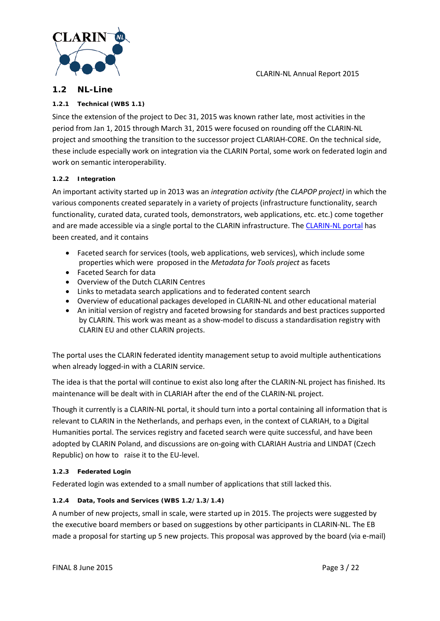

#### **1.2 NL-Line**

#### **1.2.1 Technical (WBS 1.1)**

Since the extension of the project to Dec 31, 2015 was known rather late, most activities in the period from Jan 1, 2015 through March 31, 2015 were focused on rounding off the CLARIN-NL project and smoothing the transition to the successor project CLARIAH-CORE. On the technical side, these include especially work on integration via the CLARIN Portal, some work on federated login and work on semantic interoperability.

#### **1.2.2 Integration**

An important activity started up in 2013 was an *integration activity (*the *CLAPOP project)* in which the various components created separately in a variety of projects (infrastructure functionality, search functionality, curated data, curated tools, demonstrators, web applications, etc. etc.) come together and are made accessible via a single portal to the CLARIN infrastructure. The [CLARIN-NL portal](http://portal.clarin.nl/) has been created, and it contains

- Faceted search for services (tools, web applications, web services), which include some properties which were proposed in the *Metadata for Tools project* as facets
- Faceted Search for data
- Overview of the Dutch CLARIN Centres
- Links to metadata search applications and to federated content search
- Overview of educational packages developed in CLARIN-NL and other educational material
- An initial version of registry and faceted browsing for standards and best practices supported by CLARIN. This work was meant as a show-model to discuss a standardisation registry with CLARIN EU and other CLARIN projects.

The portal uses the CLARIN federated identity management setup to avoid multiple authentications when already logged-in with a CLARIN service.

The idea is that the portal will continue to exist also long after the CLARIN-NL project has finished. Its maintenance will be dealt with in CLARIAH after the end of the CLARIN-NL project.

Though it currently is a CLARIN-NL portal, it should turn into a portal containing all information that is relevant to CLARIN in the Netherlands, and perhaps even, in the context of CLARIAH, to a Digital Humanities portal. The services registry and faceted search were quite successful, and have been adopted by CLARIN Poland, and discussions are on-going with CLARIAH Austria and LINDAT (Czech Republic) on how to raise it to the EU-level.

#### **1.2.3 Federated Login**

Federated login was extended to a small number of applications that still lacked this.

#### **1.2.4 Data, Tools and Services (WBS 1.2/1.3/1.4)**

A number of new projects, small in scale, were started up in 2015. The projects were suggested by the executive board members or based on suggestions by other participants in CLARIN-NL. The EB made a proposal for starting up 5 new projects. This proposal was approved by the board (via e-mail)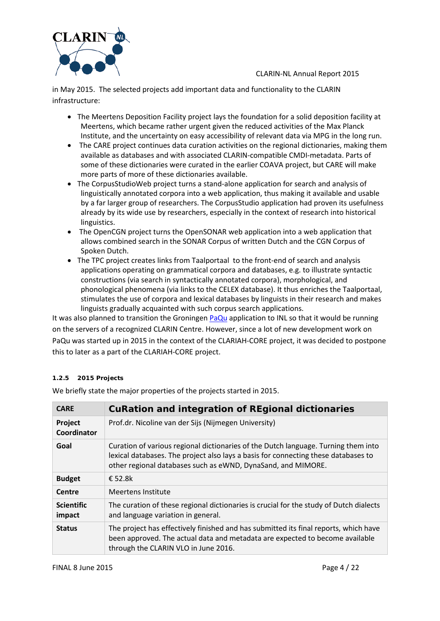

in May 2015. The selected projects add important data and functionality to the CLARIN infrastructure:

- The Meertens Deposition Facility project lays the foundation for a solid deposition facility at Meertens, which became rather urgent given the reduced activities of the Max Planck Institute, and the uncertainty on easy accessibility of relevant data via MPG in the long run.
- The CARE project continues data curation activities on the regional dictionaries, making them available as databases and with associated CLARIN-compatible CMDI-metadata. Parts of some of these dictionaries were curated in the earlier COAVA project, but CARE will make more parts of more of these dictionaries available.
- The CorpusStudioWeb project turns a stand-alone application for search and analysis of linguistically annotated corpora into a web application, thus making it available and usable by a far larger group of researchers. The CorpusStudio application had proven its usefulness already by its wide use by researchers, especially in the context of research into historical linguistics.
- The OpenCGN project turns the OpenSONAR web application into a web application that allows combined search in the SONAR Corpus of written Dutch and the CGN Corpus of Spoken Dutch.
- The TPC project creates links from Taalportaal to the front-end of search and analysis applications operating on grammatical corpora and databases, e.g. to illustrate syntactic constructions (via search in syntactically annotated corpora), morphological, and phonological phenomena (via links to the CELEX database). It thus enriches the Taalportaal, stimulates the use of corpora and lexical databases by linguists in their research and makes linguists gradually acquainted with such corpus search applications.

It was also planned to transition the Groninge[n PaQu](http://portal.clarin.nl/node/4182) application to INL so that it would be running on the servers of a recognized CLARIN Centre. However, since a lot of new development work on PaQu was started up in 2015 in the context of the CLARIAH-CORE project, it was decided to postpone this to later as a part of the CLARIAH-CORE project.

#### **1.2.5 2015 Projects**

We briefly state the major properties of the projects started in 2015.

| <b>CARE</b>                 | <b>CuRation and integration of REgional dictionaries</b>                                                                                                                                                                                 |
|-----------------------------|------------------------------------------------------------------------------------------------------------------------------------------------------------------------------------------------------------------------------------------|
| Project<br>Coordinator      | Prof.dr. Nicoline van der Sijs (Nijmegen University)                                                                                                                                                                                     |
| Goal                        | Curation of various regional dictionaries of the Dutch language. Turning them into<br>lexical databases. The project also lays a basis for connecting these databases to<br>other regional databases such as eWND, DynaSand, and MIMORE. |
| <b>Budget</b>               | € 52.8 $k$                                                                                                                                                                                                                               |
| Centre                      | Meertens Institute                                                                                                                                                                                                                       |
| <b>Scientific</b><br>impact | The curation of these regional dictionaries is crucial for the study of Dutch dialects<br>and language variation in general.                                                                                                             |
| <b>Status</b>               | The project has effectively finished and has submitted its final reports, which have<br>been approved. The actual data and metadata are expected to become available<br>through the CLARIN VLO in June 2016.                             |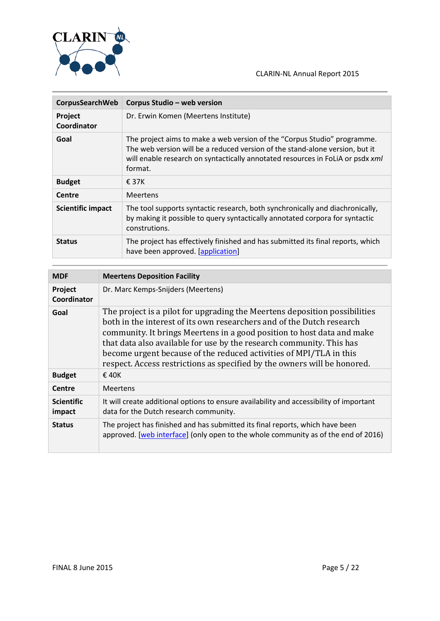

| CorpusSearchWeb          | Corpus Studio - web version                                                                                                                                                                                                                           |
|--------------------------|-------------------------------------------------------------------------------------------------------------------------------------------------------------------------------------------------------------------------------------------------------|
| Project<br>Coordinator   | Dr. Erwin Komen (Meertens Institute)                                                                                                                                                                                                                  |
| Goal                     | The project aims to make a web version of the "Corpus Studio" programme.<br>The web version will be a reduced version of the stand-alone version, but it<br>will enable research on syntactically annotated resources in FoLiA or psdx xml<br>format. |
| <b>Budget</b>            | $\epsilon$ 37K                                                                                                                                                                                                                                        |
| Centre                   | <b>Meertens</b>                                                                                                                                                                                                                                       |
| <b>Scientific impact</b> | The tool supports syntactic research, both synchronically and diachronically,<br>by making it possible to query syntactically annotated corpora for syntactic<br>construtions.                                                                        |
| <b>Status</b>            | The project has effectively finished and has submitted its final reports, which<br>have been approved. [application]                                                                                                                                  |

| <b>MDF</b>                  | <b>Meertens Deposition Facility</b>                                                                                                                                                                                                                                                                                                                                                                                                                     |
|-----------------------------|---------------------------------------------------------------------------------------------------------------------------------------------------------------------------------------------------------------------------------------------------------------------------------------------------------------------------------------------------------------------------------------------------------------------------------------------------------|
| Project<br>Coordinator      | Dr. Marc Kemps-Snijders (Meertens)                                                                                                                                                                                                                                                                                                                                                                                                                      |
| Goal                        | The project is a pilot for upgrading the Meertens deposition possibilities<br>both in the interest of its own researchers and of the Dutch research<br>community. It brings Meertens in a good position to host data and make<br>that data also available for use by the research community. This has<br>become urgent because of the reduced activities of MPI/TLA in this<br>respect. Access restrictions as specified by the owners will be honored. |
| <b>Budget</b>               | $\epsilon$ 40K                                                                                                                                                                                                                                                                                                                                                                                                                                          |
| Centre                      | Meertens                                                                                                                                                                                                                                                                                                                                                                                                                                                |
| <b>Scientific</b><br>impact | It will create additional options to ensure availability and accessibility of important<br>data for the Dutch research community.                                                                                                                                                                                                                                                                                                                       |
| <b>Status</b>               | The project has finished and has submitted its final reports, which have been<br>approved. [web interface] (only open to the whole community as of the end of 2016)                                                                                                                                                                                                                                                                                     |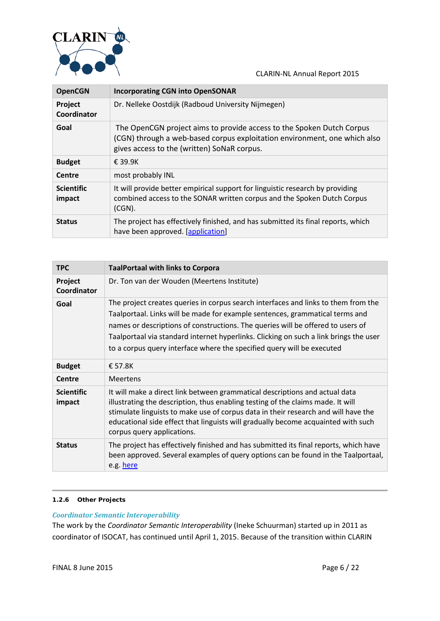

| <b>OpenCGN</b>              | <b>Incorporating CGN into OpenSONAR</b>                                                                                                                                                           |
|-----------------------------|---------------------------------------------------------------------------------------------------------------------------------------------------------------------------------------------------|
| Project<br>Coordinator      | Dr. Nelleke Oostdijk (Radboud University Nijmegen)                                                                                                                                                |
| Goal                        | The OpenCGN project aims to provide access to the Spoken Dutch Corpus<br>(CGN) through a web-based corpus exploitation environment, one which also<br>gives access to the (written) SoNaR corpus. |
| <b>Budget</b>               | $£$ 39.9K                                                                                                                                                                                         |
| Centre                      | most probably INL                                                                                                                                                                                 |
| <b>Scientific</b><br>impact | It will provide better empirical support for linguistic research by providing<br>combined access to the SONAR written corpus and the Spoken Dutch Corpus<br>$(CGN)$ .                             |
| <b>Status</b>               | The project has effectively finished, and has submitted its final reports, which<br>have been approved. [application]                                                                             |

| <b>TPC</b>                  | <b>TaalPortaal with links to Corpora</b>                                                                                                                                                                                                                                                                                                                                                                                 |
|-----------------------------|--------------------------------------------------------------------------------------------------------------------------------------------------------------------------------------------------------------------------------------------------------------------------------------------------------------------------------------------------------------------------------------------------------------------------|
| Project<br>Coordinator      | Dr. Ton van der Wouden (Meertens Institute)                                                                                                                                                                                                                                                                                                                                                                              |
| Goal                        | The project creates queries in corpus search interfaces and links to them from the<br>Taalportaal. Links will be made for example sentences, grammatical terms and<br>names or descriptions of constructions. The queries will be offered to users of<br>Taalportaal via standard internet hyperlinks. Clicking on such a link brings the user<br>to a corpus query interface where the specified query will be executed |
| <b>Budget</b>               | £57.8K                                                                                                                                                                                                                                                                                                                                                                                                                   |
| Centre                      | <b>Meertens</b>                                                                                                                                                                                                                                                                                                                                                                                                          |
| <b>Scientific</b><br>impact | It will make a direct link between grammatical descriptions and actual data<br>illustrating the description, thus enabling testing of the claims made. It will<br>stimulate linguists to make use of corpus data in their research and will have the<br>educational side effect that linguists will gradually become acquainted with such<br>corpus query applications.                                                  |
| <b>Status</b>               | The project has effectively finished and has submitted its final reports, which have<br>been approved. Several examples of query options can be found in the Taalportaal,<br>e.g. here                                                                                                                                                                                                                                   |

#### **1.2.6 Other Projects**

#### *Coordinator Semantic Interoperability*

The work by the *Coordinator Semantic Interoperability* (Ineke Schuurman) started up in 2011 as coordinator of ISOCAT, has continued until April 1, 2015. Because of the transition within CLARIN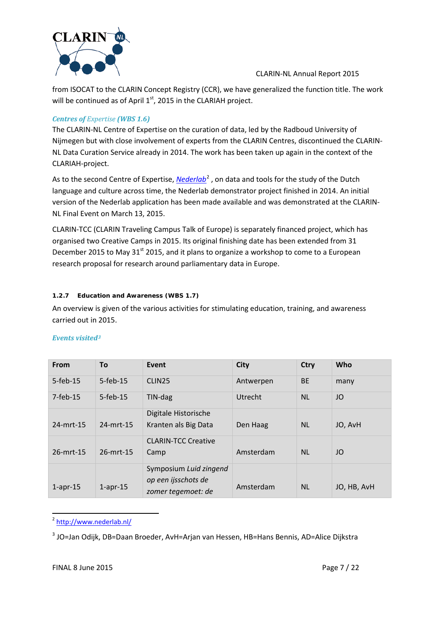

from ISOCAT to the CLARIN Concept Registry (CCR), we have generalized the function title. The work will be continued as of April  $1<sup>st</sup>$ , 2015 in the CLARIAH project.

#### *Centres of Expertise (WBS 1.6)*

The CLARIN-NL Centre of Expertise on the curation of data, led by the Radboud University of Nijmegen but with close involvement of experts from the CLARIN Centres, discontinued the CLARIN-NL Data Curation Service already in 2014. The work has been taken up again in the context of the CLARIAH-project.

As to the second Centre of Expertise, *[Nederlab](http://www.nederlab.nl/)*<sup>[2](#page-6-0)</sup>, on data and tools for the study of the Dutch language and culture across time, the Nederlab demonstrator project finished in 2014. An initial version of the Nederlab application has been made available and was demonstrated at the CLARIN-NL Final Event on March 13, 2015.

CLARIN-TCC (CLARIN Traveling Campus Talk of Europe) is separately financed project, which has organised two Creative Camps in 2015. Its original finishing date has been extended from 31 December 2015 to May 31<sup>st</sup> 2015, and it plans to organize a workshop to come to a European research proposal for research around parliamentary data in Europe.

#### **1.2.7 Education and Awareness (WBS 1.7)**

An overview is given of the various activities for stimulating education, training, and awareness carried out in 2015.

| From           | <b>To</b>    | Event                      | <b>City</b>    | <b>Ctry</b> | <b>Who</b>  |
|----------------|--------------|----------------------------|----------------|-------------|-------------|
| $5-feh-15$     | $5$ -feb-15  | CLIN <sub>25</sub>         | Antwerpen      | <b>BE</b>   | many        |
| $7-feb-15$     | $5$ -feb-15  | TIN-dag                    | <b>Utrecht</b> | <b>NL</b>   | JO          |
|                |              | Digitale Historische       |                |             |             |
| 24-mrt-15      | $24$ -mrt-15 | Kranten als Big Data       | Den Haag       | <b>NL</b>   | JO, AvH     |
|                |              | <b>CLARIN-TCC Creative</b> |                |             |             |
| 26-mrt-15      | 26-mrt-15    | Camp                       | Amsterdam      | <b>NL</b>   | JO          |
|                |              | Symposium Luid zingend     |                |             |             |
| $1$ -apr- $15$ | $1$ -apr-15  | op een ijsschots de        | Amsterdam      | <b>NL</b>   | JO, HB, AvH |
|                |              | zomer tegemoet: de         |                |             |             |

<span id="page-6-0"></span><sup>2</sup> <http://www.nederlab.nl/>  $\overline{a}$ 

<span id="page-6-1"></span><sup>&</sup>lt;sup>3</sup> JO=Jan Odijk, DB=Daan Broeder, AvH=Arjan van Hessen, HB=Hans Bennis, AD=Alice Dijkstra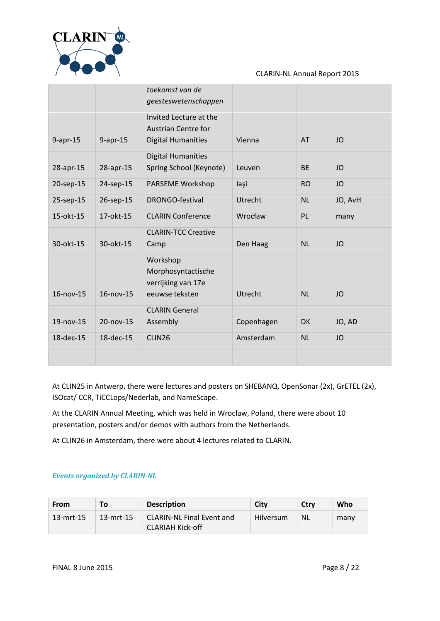

|             |                   | toekomst van de<br>geesteswetenschappen                                           |            |           |           |
|-------------|-------------------|-----------------------------------------------------------------------------------|------------|-----------|-----------|
| $9$ -apr-15 | $9$ -apr-15       | Invited Lecture at the<br><b>Austrian Centre for</b><br><b>Digital Humanities</b> | Vienna     | AT        | JO        |
| 28-apr-15   | 28-apr-15         | <b>Digital Humanities</b><br>Spring School (Keynote)                              | Leuven     | <b>BE</b> | JO        |
| 20-sep-15   | 24-sep-15         | PARSEME Workshop                                                                  | laşi       | <b>RO</b> | <b>JO</b> |
| 25-sep-15   | 26-sep-15         | DRONGO-festival                                                                   | Utrecht    | <b>NL</b> | JO, AvH   |
| 15-okt-15   | 17-okt-15         | <b>CLARIN Conference</b>                                                          | Wrocław    | PL        | many      |
| 30-okt-15   | 30-okt-15         | <b>CLARIN-TCC Creative</b><br>Camp                                                | Den Haag   | <b>NL</b> | JO        |
| 16-nov-15   | $16 - n$ ov $-15$ | Workshop<br>Morphosyntactische<br>verrijking van 17e<br>eeuwse teksten            | Utrecht    | <b>NL</b> | JO        |
| 19-nov-15   | 20-nov-15         | <b>CLARIN General</b><br>Assembly                                                 | Copenhagen | <b>DK</b> | JO, AD    |
| 18-dec-15   | 18-dec-15         | CLIN26                                                                            | Amsterdam  | <b>NL</b> | <b>JO</b> |
|             |                   |                                                                                   |            |           |           |

At CLIN25 in Antwerp, there were lectures and posters on SHEBANQ, OpenSonar (2x), GrETEL (2x), ISOcat/ CCR, TiCCLops/Nederlab, and NameScape.

At the CLARIN Annual Meeting, which was held in Wrocław, Poland, there were about 10 presentation, posters and/or demos with authors from the Netherlands.

At CLIN26 in Amsterdam, there were about 4 lectures related to CLARIN.

#### *Events organized by CLARIN-NL*

| From         | To.       | <b>Description</b>                                          | City      | Ctry      | Who  |
|--------------|-----------|-------------------------------------------------------------|-----------|-----------|------|
| $13$ -mrt-15 | 13-mrt-15 | <b>CLARIN-NL Final Event and</b><br><b>CLARIAH Kick-off</b> | Hilversum | <b>NL</b> | many |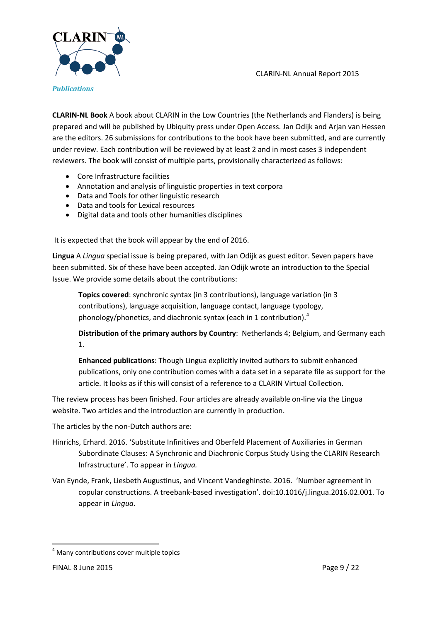

**CLARIN-NL Book** A book about CLARIN in the Low Countries (the Netherlands and Flanders) is being prepared and will be published by Ubiquity press under Open Access. Jan Odijk and Arjan van Hessen are the editors. 26 submissions for contributions to the book have been submitted, and are currently under review. Each contribution will be reviewed by at least 2 and in most cases 3 independent reviewers. The book will consist of multiple parts, provisionally characterized as follows:

- Core Infrastructure facilities
- Annotation and analysis of linguistic properties in text corpora
- Data and Tools for other linguistic research
- Data and tools for Lexical resources
- Digital data and tools other humanities disciplines

It is expected that the book will appear by the end of 2016.

**Lingua** A *Lingua* special issue is being prepared, with Jan Odijk as guest editor. Seven papers have been submitted. Six of these have been accepted. Jan Odijk wrote an introduction to the Special Issue. We provide some details about the contributions:

**Topics covered**: synchronic syntax (in 3 contributions), language variation (in 3 contributions), language acquisition, language contact, language typology, phonology/phonetics, and diachronic syntax (each in 1 contribution). $4$ 

**Distribution of the primary authors by Country**: Netherlands 4; Belgium, and Germany each 1.

**Enhanced publications**: Though Lingua explicitly invited authors to submit enhanced publications, only one contribution comes with a data set in a separate file as support for the article. It looks as if this will consist of a reference to a CLARIN Virtual Collection.

The review process has been finished. Four articles are already available on-line via the Lingua website. Two articles and the introduction are currently in production.

The articles by the non-Dutch authors are:

- Hinrichs, Erhard. 2016. 'Substitute Infinitives and Oberfeld Placement of Auxiliaries in German Subordinate Clauses: A Synchronic and Diachronic Corpus Study Using the CLARIN Research Infrastructure'. To appear in *Lingua.*
- Van Eynde, Frank, Liesbeth Augustinus, and Vincent Vandeghinste. 2016. 'Number agreement in copular constructions. A treebank-based investigation'. doi:10.1016/j.lingua.2016.02.001. To appear in *Lingua*.

 $\ddot{\phantom{a}}$ 

<span id="page-8-0"></span><sup>&</sup>lt;sup>4</sup> Many contributions cover multiple topics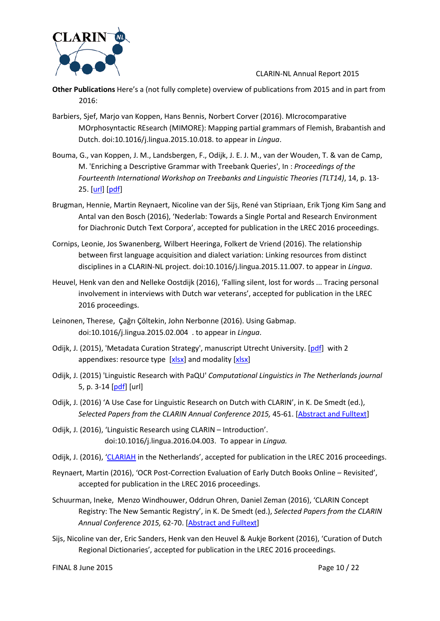

- **Other Publications** Here's a (not fully complete) overview of publications from 2015 and in part from 2016:
- Barbiers, Sjef, Marjo van Koppen, Hans Bennis, Norbert Corver (2016). MIcrocomparative MOrphosyntactic REsearch (MIMORE): Mapping partial grammars of Flemish, Brabantish and Dutch. doi:10.1016/j.lingua.2015.10.018. to appear in *Lingua*.
- Bouma, G., van Koppen, J. M., Landsbergen, F., Odijk, J. E. J. M., van der Wouden, T. & van de Camp, M. 'Enriching a Descriptive Grammar with Treebank Queries', In : *Proceedings of the Fourteenth International Workshop on Treebanks and Linguistic Theories (TLT14)*, 14, p. 13- 25. [\[url\]](http://tlt14.ipipan.waw.pl/files/4614/5063/3858/TLT14_proceedings.pdf) [\[pdf\]](http://www.clarin.nl/sites/default/files/Bouma%20et%20al%20TLT14.pdf)
- Brugman, Hennie, Martin Reynaert, Nicoline van der Sijs, René van Stipriaan, Erik Tjong Kim Sang and Antal van den Bosch (2016), 'Nederlab: Towards a Single Portal and Research Environment for Diachronic Dutch Text Corpora', accepted for publication in the LREC 2016 proceedings.
- Cornips, Leonie, Jos Swanenberg, Wilbert Heeringa, Folkert de Vriend (2016). The relationship between first language acquisition and dialect variation: Linking resources from distinct disciplines in a CLARIN-NL project. doi:10.1016/j.lingua.2015.11.007. to appear in *Lingua*.
- Heuvel, Henk van den and Nelleke Oostdijk (2016), 'Falling silent, lost for words ... Tracing personal involvement in interviews with Dutch war veterans', accepted for publication in the LREC 2016 proceedings.
- Leinonen, Therese, Çağrı Çöltekin, John Nerbonne (2016). Using Gabmap. doi:10.1016/j.lingua.2015.02.004 . to appear in *Lingua*.
- Odijk, J. (2015), 'Metadata Curation Strategy', manuscript Utrecht University. [\[pdf\]](http://www.clarin.nl/sites/default/files/Metadata%20curation%20strategy%202015-06-29.pdf) with 2 appendixes: resource type [\[xlsx\]](http://www.clarin.nl/sites/default/files/modality%20cleanup.xlsx) and modality [xlsx]
- Odijk, J. (2015) 'Linguistic Research with PaQU' *Computational Linguistics in The Netherlands journal* 5, p. 3-14 [\[pdf\]](http://www.clarin.nl/sites/default/files/PaQu%20Odijk.pdf) [url]
- Odijk, J. (2016) 'A Use Case for Linguistic Research on Dutch with CLARIN', in K. De Smedt (ed.), *Selected Papers from the CLARIN Annual Conference 2015,* 45-61. [\[Abstract and Fulltext\]](http://www.ep.liu.se/ecp/article.asp?issue=123&article=004)
- Odijk, J. (2016), 'Linguistic Research using CLARIN Introduction'. doi:10.1016/j.lingua.2016.04.003. To appear in *Lingua.*
- Odijk, J. (2016), ['CLARIAH](https://www.clarin.eu/glossary%23CLARIAH) in the Netherlands', accepted for publication in the LREC 2016 proceedings.
- Reynaert, Martin (2016), 'OCR Post-Correction Evaluation of Early Dutch Books Online Revisited', accepted for publication in the LREC 2016 proceedings.
- Schuurman, Ineke, Menzo Windhouwer, Oddrun Ohren, Daniel Zeman (2016), 'CLARIN Concept Registry: The New Semantic Registry', in K. De Smedt (ed.), *Selected Papers from the CLARIN Annual Conference 2015,* 62-70. [\[Abstract and Fulltext\]](http://www.ep.liu.se/ecp/article.asp?issue=123&article=005)
- Sijs, Nicoline van der, Eric Sanders, Henk van den Heuvel & Aukje Borkent (2016), 'Curation of Dutch Regional Dictionaries', accepted for publication in the LREC 2016 proceedings.

FINAL 8 June 2015 Page 10 / 22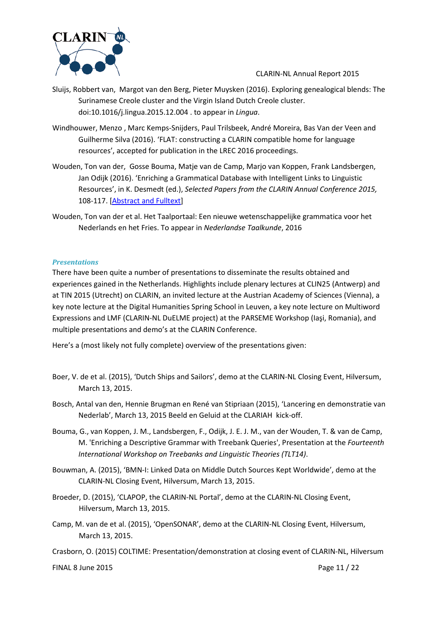

- Sluijs, Robbert van, Margot van den Berg, Pieter Muysken (2016). Exploring genealogical blends: The Surinamese Creole cluster and the Virgin Island Dutch Creole cluster. doi:10.1016/j.lingua.2015.12.004 . to appear in *Lingua*.
- Windhouwer, Menzo , Marc Kemps-Snijders, Paul Trilsbeek, André Moreira, Bas Van der Veen and Guilherme Silva (2016). 'FLAT: constructing a CLARIN compatible home for language resources', accepted for publication in the LREC 2016 proceedings.
- Wouden, Ton van der, Gosse Bouma, Matje van de Camp, Marjo van Koppen, Frank Landsbergen, Jan Odijk (2016). 'Enriching a Grammatical Database with Intelligent Links to Linguistic Resources', in K. Desmedt (ed.), *Selected Papers from the CLARIN Annual Conference 2015,*  108-117. [\[Abstract and Fulltext\]](http://www.ep.liu.se/ecp/article.asp?issue=123&article=009)
- Wouden, Ton van der et al. Het Taalportaal: Een nieuwe wetenschappelijke grammatica voor het Nederlands en het Fries. To appear in *Nederlandse Taalkunde*, 2016

#### *Presentations*

There have been quite a number of presentations to disseminate the results obtained and experiences gained in the Netherlands. Highlights include plenary lectures at CLIN25 (Antwerp) and at TIN 2015 (Utrecht) on CLARIN, an invited lecture at the Austrian Academy of Sciences (Vienna), a key note lecture at the Digital Humanities Spring School in Leuven, a key note lecture on Multiword Expressions and LMF (CLARIN-NL DuELME project) at the PARSEME Workshop (Iaşi, Romania), and multiple presentations and demo's at the CLARIN Conference.

Here's a (most likely not fully complete) overview of the presentations given:

- Boer, V. de et al. (2015), 'Dutch Ships and Sailors', demo at the CLARIN-NL Closing Event, Hilversum, March 13, 2015.
- Bosch, Antal van den, Hennie Brugman en René van Stipriaan (2015), 'Lancering en demonstratie van Nederlab', March 13, 2015 Beeld en Geluid at the CLARIAH kick-off.
- Bouma, G., van Koppen, J. M., Landsbergen, F., Odijk, J. E. J. M., van der Wouden, T. & van de Camp, M. 'Enriching a Descriptive Grammar with Treebank Queries', Presentation at the *Fourteenth International Workshop on Treebanks and Linguistic Theories (TLT14)*.
- Bouwman, A. (2015), 'BMN-I: Linked Data on Middle Dutch Sources Kept Worldwide', demo at the CLARIN-NL Closing Event, Hilversum, March 13, 2015.
- Broeder, D. (2015), 'CLAPOP, the CLARIN-NL Portal', demo at the CLARIN-NL Closing Event, Hilversum, March 13, 2015.
- Camp, M. van de et al. (2015), 'OpenSONAR', demo at the CLARIN-NL Closing Event, Hilversum, March 13, 2015.
- Crasborn, O. (2015) COLTIME: Presentation/demonstration at closing event of CLARIN-NL, Hilversum

FINAL 8 June 2015 Page 11 / 22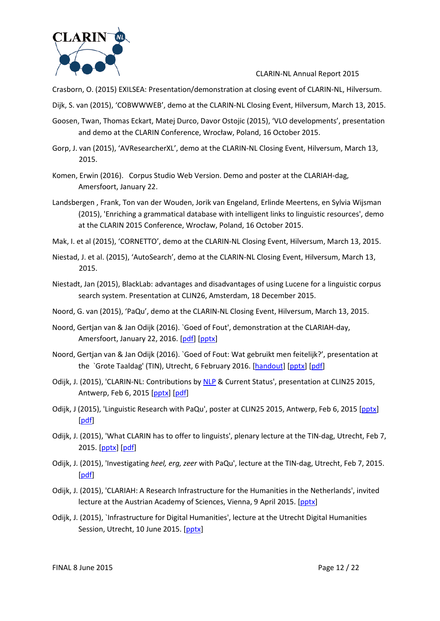

Crasborn, O. (2015) EXILSEA: Presentation/demonstration at closing event of CLARIN-NL, Hilversum.

Dijk, S. van (2015), 'COBWWWEB', demo at the CLARIN-NL Closing Event, Hilversum, March 13, 2015.

- Goosen, Twan, Thomas Eckart, Matej Durco, Davor Ostojic (2015), 'VLO developments', presentation and demo at the CLARIN Conference, Wrocław, Poland, 16 October 2015.
- Gorp, J. van (2015), 'AVResearcherXL', demo at the CLARIN-NL Closing Event, Hilversum, March 13, 2015.
- Komen, Erwin (2016). Corpus Studio Web Version. Demo and poster at the CLARIAH-dag, Amersfoort, January 22.
- Landsbergen , Frank, Ton van der Wouden, Jorik van Engeland, Erlinde Meertens, en Sylvia Wijsman (2015), 'Enriching a grammatical database with intelligent links to linguistic resources', demo at the CLARIN 2015 Conference, Wrocław, Poland, 16 October 2015.
- Mak, I. et al (2015), 'CORNETTO', demo at the CLARIN-NL Closing Event, Hilversum, March 13, 2015.
- Niestad, J. et al. (2015), 'AutoSearch', demo at the CLARIN-NL Closing Event, Hilversum, March 13, 2015.
- Niestadt, Jan (2015), BlackLab: advantages and disadvantages of using Lucene for a linguistic corpus search system. Presentation at CLIN26, Amsterdam, 18 December 2015.
- Noord, G. van (2015), 'PaQu', demo at the CLARIN-NL Closing Event, Hilversum, March 13, 2015.
- Noord, Gertjan van & Jan Odijk (2016). `Goed of Fout', demonstration at the CLARIAH-day, Amersfoort, January 22, 2016. [\[pdf\]](http://www.clarin.nl/sites/default/files/Goed%20of%20Fout%20CLARIAH%202016%202016-01-21.pdf) [\[pptx\]](http://www.clarin.nl/sites/default/files/Goed%20of%20Fout%20CLARIAH%202016%202016-01-21.pptx)
- Noord, Gertjan van & Jan Odijk (2016). `Goed of Fout: Wat gebruikt men feitelijk?', presentation at the `Grote Taaldag' (TIN), Utrecht, 6 February 2016. [\[handout\]](http://www.clarin.nl/sites/default/files/handout%20Goed%20of%20Fout%20Van%20Noord%20en%20Odijk.pdf) [\[pptx\]](http://www.clarin.nl/sites/default/files/Goed%20of%20Fout%20TIN%202016%202016-02-03.pptx) [\[pdf\]](http://www.clarin.nl/sites/default/files/Goed%20of%20Fout%20TIN%202016%202016-02-03.pdf)
- Odijk, J. (2015), 'CLARIN-NL: Contributions by [NLP](http://www.clarin.nl/glossary%23NLP) & Current Status', presentation at CLIN25 2015, Antwerp, Feb 6, 2015 [\[pptx\]](http://www.clarin.nl/sites/default/files/CLARIN%20CLIN%20presentation%202015-02-03.pptx) [\[pdf\]](http://www.clarin.nl/sites/default/files/CLARIN%20CLIN%20presentation%202015-02-03.pdf)
- Odijk, J (2015), 'Linguistic Research with PaQu', poster at CLIN25 2015, Antwerp, Feb 6, 2015 [\[pptx\]](http://www.clarin.nl/sites/default/files/Poster%20Odijk%20CLIN%202015%202015-02-02.pptx) [\[pdf\]](http://www.clarin.nl/sites/default/files/Poster%20Odijk%20CLIN%202015%202015-02-02.pdf)
- Odijk, J. (2015), 'What CLARIN has to offer to linguists', plenary lecture at the TIN-dag, Utrecht, Feb 7, 2015. [\[pptx\]](http://www.clarin.nl/sites/default/files/CLARIN%20TIN%20presentation%202015-02-04.pptx) [\[pdf\]](http://www.clarin.nl/sites/default/files/CLARIN%20TIN%20presentation%202015-02-04.pdf)
- Odijk, J. (2015), 'Investigating *heel, erg, zeer* with PaQu', lecture at the TIN-dag, Utrecht, Feb 7, 2015. [\[pdf\]](http://www.clarin.nl/sites/default/files/2015%20TIN%20Odijk%20HandOut%202015-02-03.pdf)
- Odijk, J. (2015), 'CLARIAH: A Research Infrastructure for the Humanities in the Netherlands', invited lecture at the Austrian Academy of Sciences, Vienna, 9 April 2015. [\[pptx\]](http://www.clarin.nl/sites/default/files/CLARIAH%20Vienna%202015-04-09%202015-04-09.pptx)
- Odijk, J. (2015), `Infrastructure for Digital Humanities', lecture at the Utrecht Digital Humanities Session, Utrecht, 10 June 2015. [\[pptx\]](http://www.clarin.nl/sites/default/files/Odijk%20utrecht%20DH%20Infrastructure%2020150610%2020150615pptx.pptx)

FINAL 8 June 2015 Page 12 / 22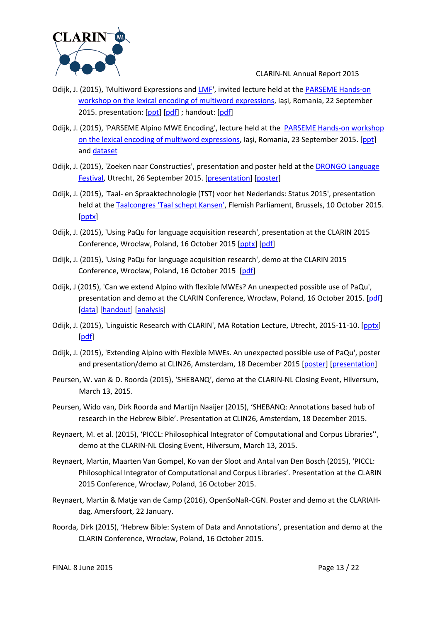

- Odijk, J. (2015), 'Multiword Expressions an[d LMF'](http://www.clarin.nl/glossary%23LMF), invited lecture held at the [PARSEME Hands-on](http://typo.uni-konstanz.de/parseme/index.php/contact/how-to-join-us/2-general/126-parseme-wg1-hands-on-workshop-on-lexical-encoding-of-mwes)  [workshop on the lexical encoding](http://typo.uni-konstanz.de/parseme/index.php/contact/how-to-join-us/2-general/126-parseme-wg1-hands-on-workshop-on-lexical-encoding-of-mwes) of multiword expressions, Iaşi, Romania, 22 September 2015. presentation: [\[ppt\]](http://www.clarin.nl/sites/default/files/Odijk%20PARSEME%202015-09%202015-09-20.ppt) [\[pdf\]](http://www.clarin.nl/sites/default/files/Combined%20Handout%20Jan%20Odijk.pdf); handout: [pdf]
- Odijk, J. (2015), 'PARSEME Alpino MWE Encoding', lecture held at the [PARSEME Hands-on workshop](http://typo.uni-konstanz.de/parseme/index.php/contact/how-to-join-us/2-general/126-parseme-wg1-hands-on-workshop-on-lexical-encoding-of-mwes)  [on the lexical encoding of multiword expressions](http://typo.uni-konstanz.de/parseme/index.php/contact/how-to-join-us/2-general/126-parseme-wg1-hands-on-workshop-on-lexical-encoding-of-mwes), Iaşi, Romania, 23 September 2015. [\[ppt\]](http://www.clarin.nl/sites/default/files/PARSEME%20Alpino%20MWE%20encoding%202015-09-22.ppt) an[d dataset](http://www.clarin.nl/sites/default/files/parsememwetesta.zip)
- Odijk, J. (2015), 'Zoeken naar Constructies', presentation and poster held at the [DRONGO Language](http://www.drongofestival.nl/)  [Festival,](http://www.drongofestival.nl/) Utrecht, 26 September 2015. [\[presentation\]](http://www.clarin.nl/sites/default/files/Drongo%202015%20clarin%20presentation%202015-09-26.pptx) [\[poster\]](http://www.clarin.nl/sites/default/files/Poster%20Odijk%20DRONGO%202015%202015-09-20-AvH-Final.pptx)
- Odijk, J. (2015), 'Taal- en Spraaktechnologie (TST) voor het Nederlands: Status 2015', presentation held at the [Taalcongres 'Taal schept Kansen',](http://weekvanhetnederlands.org/activiteiten/taalcongres-%E2%80%9Ctaal-schept-kansen%E2%80%9D) Flemish Parliament, Brussels, 10 October 2015. [\[pptx\]](http://www.clarin.nl/sites/default/files/Odijk%20Status%20TST%202015-10-10%202015-10-07.pptx)
- Odijk, J. (2015), 'Using PaQu for language acquisition research', presentation at the CLARIN 2015 Conference, Wrocław, Poland, 16 October 2015 [\[pptx\]](http://www.clarin.nl/sites/default/files/CLARIN%202015%20presentation%20Odijk%20PaQu%202015-10-13.pptx) [\[pdf\]](http://www.clarin.nl/sites/default/files/CLARIN%202015%20presentation%20Odijk%20PaQu%202015-10-13.pdf)
- Odijk, J. (2015), 'Using PaQu for language acquisition research', demo at the CLARIN 2015 Conference, Wrocław, Poland, 16 October 2015 [\[pdf\]](http://www.clarin.nl/sites/default/files/PaQu%20for%20Alpino%20MWEs%202015-10-16.pdf)
- Odijk, J (2015), 'Can we extend Alpino with flexible MWEs? An unexpected possible use of PaQu', presentation and demo at the CLARIN Conference, Wrocław, Poland, 16 October 2015. [\[pdf\]](http://www.clarin.nl/sites/default/files/PaQu%20for%20Alpino%20MWEs%202015-10-16.pdf) [\[data\]](http://www.clarin.nl/sites/default/files/parsememwetesta.zip) [\[handout\]](http://www.clarin.nl/sites/default/files/CLARIN%20PaQU%20Bazaar%20Handout.pdf) [\[analysis\]](http://www.clarin.nl/sites/default/files/Analysis%20Alpino%20flexible%20MWEs%202015-10-15.pdf)
- Odijk, J. (2015), 'Linguistic Research with CLARIN', MA Rotation Lecture, Utrecht, 2015-11-10. [\[pptx\]](http://www.clarin.nl/sites/default/files/MA%20Rotation%202015%20Odijk%202015-11-05.pptx) [\[pdf\]](http://www.clarin.nl/sites/default/files/MA%20Rotation%202015%20Odijk%202015-11-05.pdf)
- Odijk, J. (2015), 'Extending Alpino with Flexible MWEs. An unexpected possible use of PaQu', poster and presentation/demo at CLIN26, Amsterdam, 18 December 2015 [\[poster\]](http://www.clarin.nl/sites/default/files/CLIN%2026%20Poster%20Odijk%202015-12-15.pptx) [\[presentation\]](http://www.clarin.nl/sites/default/files/CLIN26%20PaQu%20for%20Alpino%20MWEs%202015-12-15.pdf)
- Peursen, W. van & D. Roorda (2015), 'SHEBANQ', demo at the CLARIN-NL Closing Event, Hilversum, March 13, 2015.
- Peursen, Wido van, Dirk Roorda and Martijn Naaijer (2015), 'SHEBANQ: Annotations based hub of research in the Hebrew Bible'. Presentation at CLIN26, Amsterdam, 18 December 2015.
- Reynaert, M. et al. (2015), 'PICCL: Philosophical Integrator of Computational and Corpus Libraries'', demo at the CLARIN-NL Closing Event, Hilversum, March 13, 2015.
- Reynaert, Martin, Maarten Van Gompel, Ko van der Sloot and Antal van Den Bosch (2015), 'PICCL: Philosophical Integrator of Computational and Corpus Libraries'. Presentation at the CLARIN 2015 Conference, Wrocław, Poland, 16 October 2015.
- Reynaert, Martin & Matje van de Camp (2016), OpenSoNaR-CGN. Poster and demo at the CLARIAHdag, Amersfoort, 22 January.
- Roorda, Dirk (2015), 'Hebrew Bible: System of Data and Annotations', presentation and demo at the CLARIN Conference, Wrocław, Poland, 16 October 2015.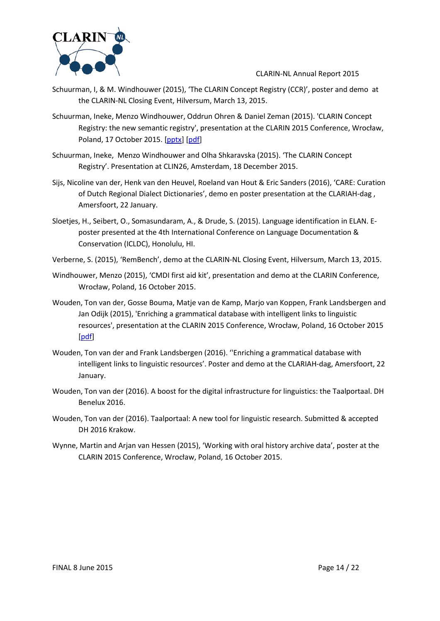

- Schuurman, I, & M. Windhouwer (2015), 'The CLARIN Concept Registry (CCR)', poster and demo at the CLARIN-NL Closing Event, Hilversum, March 13, 2015.
- Schuurman, Ineke, Menzo Windhouwer, Oddrun Ohren & Daniel Zeman (2015). 'CLARIN Concept Registry: the new semantic registry', presentation at the CLARIN 2015 Conference, Wrocław, Poland, 17 October 2015. [\[pptx\]](http://www.clarin.nl/sites/default/files/CCR-CLARIN2015v2a.pptx) [\[pdf\]](http://www.clarin.nl/sites/default/files/CCR-CLARIN2015v2a.pdf)
- Schuurman, Ineke, Menzo Windhouwer and Olha Shkaravska (2015). 'The CLARIN Concept Registry'. Presentation at CLIN26, Amsterdam, 18 December 2015.
- Sijs, Nicoline van der, Henk van den Heuvel, Roeland van Hout & Eric Sanders (2016), 'CARE: Curation of Dutch Regional Dialect Dictionaries', demo en poster presentation at the CLARIAH-dag , Amersfoort, 22 January.
- Sloetjes, H., Seibert, O., Somasundaram, A., & Drude, S. (2015). Language identification in ELAN. Eposter presented at the 4th International Conference on Language Documentation & Conservation (ICLDC), Honolulu, HI.
- Verberne, S. (2015), 'RemBench', demo at the CLARIN-NL Closing Event, Hilversum, March 13, 2015.
- Windhouwer, Menzo (2015), 'CMDI first aid kit', presentation and demo at the CLARIN Conference, Wrocław, Poland, 16 October 2015.
- Wouden, Ton van der, Gosse Bouma, Matje van de Kamp, Marjo van Koppen, Frank Landsbergen and Jan Odijk (2015), 'Enriching a grammatical database with intelligent links to linguistic resources', presentation at the CLARIN 2015 Conference, Wrocław, Poland, 16 October 2015 [\[pdf\]](http://www.clarin.nl/sites/default/files/clarin-2015-vdwouden.pdf)
- Wouden, Ton van der and Frank Landsbergen (2016). ''Enriching a grammatical database with intelligent links to linguistic resources'. Poster and demo at the CLARIAH-dag, Amersfoort, 22 January.
- Wouden, Ton van der (2016). A boost for the digital infrastructure for linguistics: the Taalportaal. DH Benelux 2016.
- Wouden, Ton van der (2016). Taalportaal: A new tool for linguistic research. Submitted & accepted DH 2016 Krakow.
- Wynne, Martin and Arjan van Hessen (2015), 'Working with oral history archive data', poster at the CLARIN 2015 Conference, Wrocław, Poland, 16 October 2015.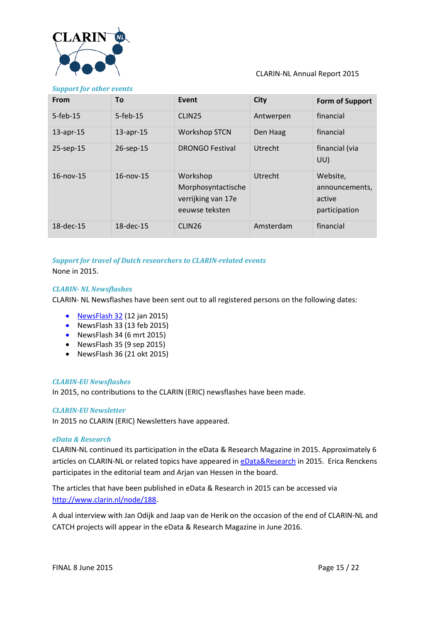

| <b>From</b>     | To              | Event                                                                  | <b>City</b>    | <b>Form of Support</b>                                |
|-----------------|-----------------|------------------------------------------------------------------------|----------------|-------------------------------------------------------|
| $5$ -feb-15     | $5$ -feb-15     | CLIN <sub>25</sub>                                                     | Antwerpen      | financial                                             |
| $13$ -apr- $15$ | $13$ -apr- $15$ | <b>Workshop STCN</b>                                                   | Den Haag       | financial                                             |
| 25-sep-15       | 26-sep-15       | <b>DRONGO Festival</b>                                                 | Utrecht        | financial (via<br>UU)                                 |
| $16$ -nov- $15$ | $16$ -nov- $15$ | Workshop<br>Morphosyntactische<br>verrijking van 17e<br>eeuwse teksten | <b>Utrecht</b> | Website,<br>announcements,<br>active<br>participation |
| $18$ -dec-15    | $18$ -dec- $15$ | CLIN <sub>26</sub>                                                     | Amsterdam      | financial                                             |

## *Support for travel of Dutch researchers to CLARIN-related events*

None in 2015.

#### *CLARIN- NL Newsflashes*

CLARIN- NL Newsflashes have been sent out to all registered persons on the following dates:

- [NewsFlash 32](http://clarin.us7.list-manage.com/track/click?u=4aa8a65873d3ffafe259b732d&id=0f611faccd&e=ac08f37928) (12 jan 2015)
- NewsFlash 33 (13 feb 2015)
- NewsFlash 34 (6 mrt 2015)
- [NewsFlash](http://www.clarin.nl/sites/default/files/NewsFlash%2030.pdf) 35 (9 sep 2015)
- NewsFlash 36 (21 okt 2015)

#### *CLARIN-EU Newsflashes*

In 2015, no contributions to the CLARIN (ERIC) newsflashes have been made.

#### *CLARIN-EU Newsletter*

In 2015 no CLARIN (ERIC) Newsletters have appeared.

#### *eData & Research*

CLARIN-NL continued its participation in the eData & Research Magazine in 2015. Approximately 6 articles on CLARIN-NL or related topics have appeared i[n eData&Research](http://www.edata.nl/) in 2015. Erica Renckens participates in the editorial team and Arjan van Hessen in the board.

The articles that have been published in eData & Research in 2015 can be accessed via [http://www.clarin.nl/node/188.](http://www.clarin.nl/node/188)

A dual interview with Jan Odijk and Jaap van de Herik on the occasion of the end of CLARIN-NL and CATCH projects will appear in the eData & Research Magazine in June 2016.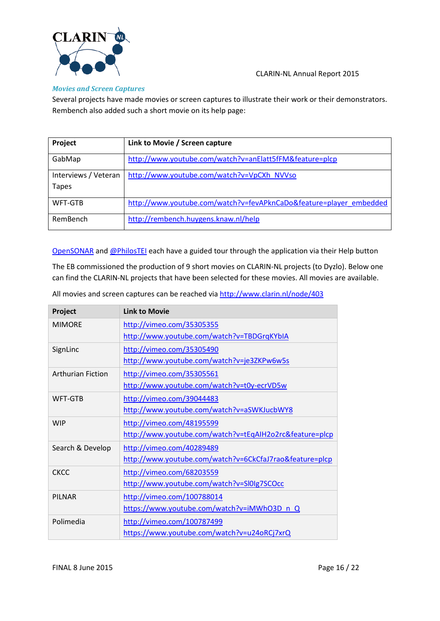

#### *Movies and Screen Captures*

Several projects have made movies or screen captures to illustrate their work or their demonstrators. Rembench also added such a short movie on its help page:

| Project              | Link to Movie / Screen capture                                     |
|----------------------|--------------------------------------------------------------------|
| GabMap               | http://www.youtube.com/watch?v=anElatt5fFM&feature=plcp            |
| Interviews / Veteran | http://www.youtube.com/watch?v=VpCXh_NVVso                         |
| <b>Tapes</b>         |                                                                    |
| WFT-GTB              | http://www.youtube.com/watch?v=fevAPknCaDo&feature=player_embedded |
| RemBench             | http://rembench.huygens.knaw.nl/help                               |

[OpenSONAR](http://opensonar.inl.nl/) an[d @PhilosTEI](http://ticclops.clarin.inl.nl/philostei/) each have a guided tour through the application via their Help button

The EB commissioned the production of 9 short movies on CLARIN-NL projects (to Dyzlo). Below one can find the CLARIN-NL projects that have been selected for these movies. All movies are available.

| Project                  | <b>Link to Movie</b>                                    |
|--------------------------|---------------------------------------------------------|
| <b>MIMORE</b>            | http://vimeo.com/35305355                               |
|                          | http://www.youtube.com/watch?v=TBDGrqKYbIA              |
| SignLinc                 | http://vimeo.com/35305490                               |
|                          | http://www.youtube.com/watch?v=je3ZKPw6w5s              |
| <b>Arthurian Fiction</b> | http://vimeo.com/35305561                               |
|                          | http://www.youtube.com/watch?v=t0y-ecrVD5w              |
| <b>WFT-GTB</b>           | http://vimeo.com/39044483                               |
|                          | http://www.youtube.com/watch?v=aSWKJucbWY8              |
| <b>WIP</b>               | http://vimeo.com/48195599                               |
|                          | http://www.youtube.com/watch?v=tEqAIH2o2rc&feature=plcp |
| Search & Develop         | http://vimeo.com/40289489                               |
|                          | http://www.youtube.com/watch?v=6CkCfaJ7rao&feature=plcp |
| <b>CKCC</b>              | http://vimeo.com/68203559                               |
|                          | http://www.youtube.com/watch?v=Sl0Ig7SCOcc              |
| <b>PILNAR</b>            | http://vimeo.com/100788014                              |
|                          | https://www.youtube.com/watch?v=iMWhO3D n Q             |
| Polimedia                | http://vimeo.com/100787499                              |
|                          | https://www.youtube.com/watch?v=u24oRCj7xrQ             |

All movies and screen captures can be reached vi[a http://www.clarin.nl/node/403](http://www.clarin.nl/node/403)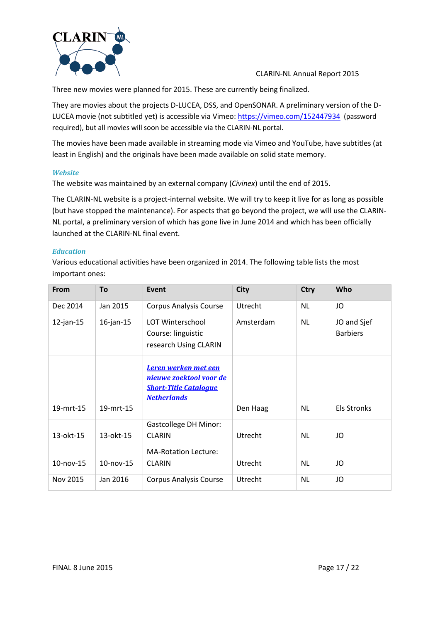

Three new movies were planned for 2015. These are currently being finalized.

They are movies about the projects D-LUCEA, DSS, and OpenSONAR. A preliminary version of the DLUCEA movie (not subtitled yet) is accessible via Vimeo:<https://vimeo.com/152447934> (password required), but all movies will soon be accessible via the CLARIN-NL portal.

The movies have been made available in streaming mode via Vimeo and YouTube, have subtitles (at least in English) and the originals have been made available on solid state memory.

#### *Website*

The website was maintained by an external company (*Civinex*) until the end of 2015.

The CLARIN-NL website is a project-internal website. We will try to keep it live for as long as possible (but have stopped the maintenance). For aspects that go beyond the project, we will use the CLARIN-NL portal, a preliminary version of which has gone live in June 2014 and which has been officially launched at the CLARIN-NL final event.

#### *Education*

Various educational activities have been organized in 2014. The following table lists the most important ones:

| From            | <b>To</b>       | Event                                                                                                 | <b>City</b>    | <b>Ctry</b> | Who                            |
|-----------------|-----------------|-------------------------------------------------------------------------------------------------------|----------------|-------------|--------------------------------|
| Dec 2014        | Jan 2015        | <b>Corpus Analysis Course</b>                                                                         | Utrecht        | <b>NL</b>   | JO                             |
| $12$ -jan-15    | $16$ -jan- $15$ | <b>LOT Winterschool</b><br>Course: linguistic<br>research Using CLARIN                                | Amsterdam      | <b>NL</b>   | JO and Sjef<br><b>Barbiers</b> |
| 19-mrt-15       | 19-mrt-15       | Leren werken met een<br>nieuwe zoektool voor de<br><b>Short-Title Catalogue</b><br><b>Netherlands</b> | Den Haag       | <b>NL</b>   | <b>Els Stronks</b>             |
| 13-okt-15       | 13-okt-15       | <b>Gastcollege DH Minor:</b><br><b>CLARIN</b>                                                         | <b>Utrecht</b> | <b>NL</b>   | JO                             |
| $10$ -nov- $15$ | $10$ -nov- $15$ | <b>MA-Rotation Lecture:</b><br><b>CLARIN</b>                                                          | Utrecht        | <b>NL</b>   | JO                             |
| Nov 2015        | Jan 2016        | <b>Corpus Analysis Course</b>                                                                         | Utrecht        | <b>NL</b>   | JO                             |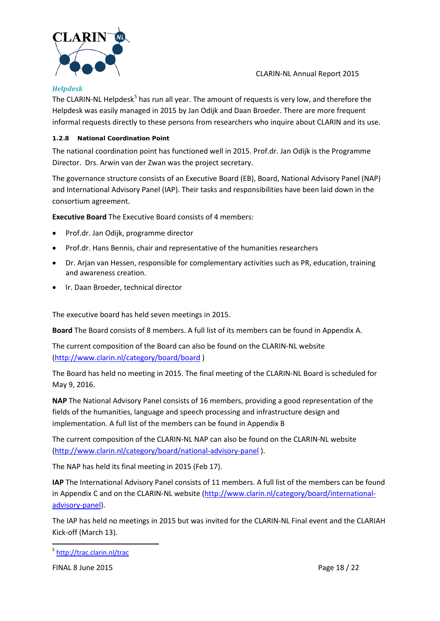

#### *Helpdesk*

The CLARIN-NL Helpdesk<sup>[5](#page-17-0)</sup> has run all year. The amount of requests is very low, and therefore the Helpdesk was easily managed in 2015 by Jan Odijk and Daan Broeder. There are more frequent informal requests directly to these persons from researchers who inquire about CLARIN and its use.

CLARIN-NL Annual Report 2015

#### **1.2.8 National Coordination Point**

The national coordination point has functioned well in 2015. Prof.dr. Jan Odijk is the Programme Director. Drs. Arwin van der Zwan was the project secretary.

The governance structure consists of an Executive Board (EB), Board, National Advisory Panel (NAP) and International Advisory Panel (IAP). Their tasks and responsibilities have been laid down in the consortium agreement.

**Executive Board** The Executive Board consists of 4 members:

- Prof.dr. Jan Odijk, programme director
- Prof.dr. Hans Bennis, chair and representative of the humanities researchers
- Dr. Arjan van Hessen, responsible for complementary activities such as PR, education, training and awareness creation.
- Ir. Daan Broeder, technical director

The executive board has held seven meetings in 2015.

**Board** The Board consists of 8 members. A full list of its members can be found in [Appendix A.](#page-19-0)

The current composition of the Board can also be found on the CLARIN-NL website [\(http://www.clarin.nl/category/board/board](http://www.clarin.nl/category/board/board) )

The Board has held no meeting in 2015. The final meeting of the CLARIN-NL Board is scheduled for May 9, 2016.

**NAP** The National Advisory Panel consists of 16 members, providing a good representation of the fields of the humanities, language and speech processing and infrastructure design and implementation. A full list of the members can be found i[n Appendix B](#page-20-0)

The current composition of the CLARIN-NL NAP can also be found on the CLARIN-NL website [\(http://www.clarin.nl/category/board/national-advisory-panel](http://www.clarin.nl/category/board/national-advisory-panel) ).

The NAP has held its final meeting in 2015 (Feb 17).

**IAP** The International Advisory Panel consists of 11 members. A full list of the members can be found i[n Appendix C](#page-21-0) and on the CLARIN-NL website [\(http://www.clarin.nl/category/board/international](http://www.clarin.nl/category/board/international-advisory-panel)[advisory-panel\)](http://www.clarin.nl/category/board/international-advisory-panel).

The IAP has held no meetings in 2015 but was invited for the CLARIN-NL Final event and the CLARIAH Kick-off (March 13).

FINAL 8 June 2015 Page 18 / 22

 $\ddot{\phantom{a}}$ 

<span id="page-17-0"></span><sup>&</sup>lt;sup>5</sup> <http://trac.clarin.nl/trac>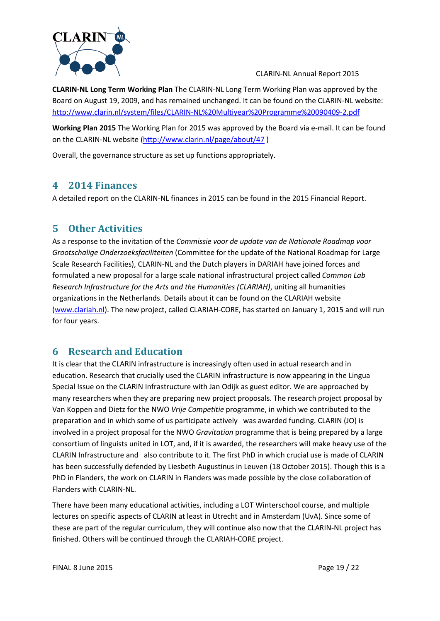

**CLARIN-NL Long Term Working Plan** The CLARIN-NL Long Term Working Plan was approved by the Board on August 19, 2009, and has remained unchanged. It can be found on the CLARIN-NL website: <http://www.clarin.nl/system/files/CLARIN-NL%20Multiyear%20Programme%20090409-2.pdf>

**Working Plan 2015** The Working Plan for 2015 was approved by the Board via e-mail. It can be found on the CLARIN-NL website [\(http://www.clarin.nl/page/about/47](http://www.clarin.nl/page/about/47) )

Overall, the governance structure as set up functions appropriately.

## **4 2014 Finances**

A detailed report on the CLARIN-NL finances in 2015 can be found in the 2015 Financial Report.

## **5 Other Activities**

As a response to the invitation of the *Commissie voor de update van de Nationale Roadmap voor Grootschalige Onderzoeksfaciliteiten* (Committee for the update of the National Roadmap for Large Scale Research Facilities), CLARIN-NL and the Dutch players in DARIAH have joined forces and formulated a new proposal for a large scale national infrastructural project called *Common Lab Research Infrastructure for the Arts and the Humanities (CLARIAH)*, uniting all humanities organizations in the Netherlands. Details about it can be found on the CLARIAH website [\(www.clariah.nl\)](http://www.clariah.nl/). The new project, called CLARIAH-CORE, has started on January 1, 2015 and will run for four years.

## **6 Research and Education**

It is clear that the CLARIN infrastructure is increasingly often used in actual research and in education. Research that crucially used the CLARIN infrastructure is now appearing in the Lingua Special Issue on the CLARIN Infrastructure with Jan Odijk as guest editor. We are approached by many researchers when they are preparing new project proposals. The research project proposal by Van Koppen and Dietz for the NWO *Vrije Competitie* programme, in which we contributed to the preparation and in which some of us participate actively was awarded funding. CLARIN (JO) is involved in a project proposal for the NWO *Gravitation* programme that is being prepared by a large consortium of linguists united in LOT, and, if it is awarded, the researchers will make heavy use of the CLARIN Infrastructure and also contribute to it. The first PhD in which crucial use is made of CLARIN has been successfully defended by Liesbeth Augustinus in Leuven (18 October 2015). Though this is a PhD in Flanders, the work on CLARIN in Flanders was made possible by the close collaboration of Flanders with CLARIN-NL.

There have been many educational activities, including a LOT Winterschool course, and multiple lectures on specific aspects of CLARIN at least in Utrecht and in Amsterdam (UvA). Since some of these are part of the regular curriculum, they will continue also now that the CLARIN-NL project has finished. Others will be continued through the CLARIAH-CORE project.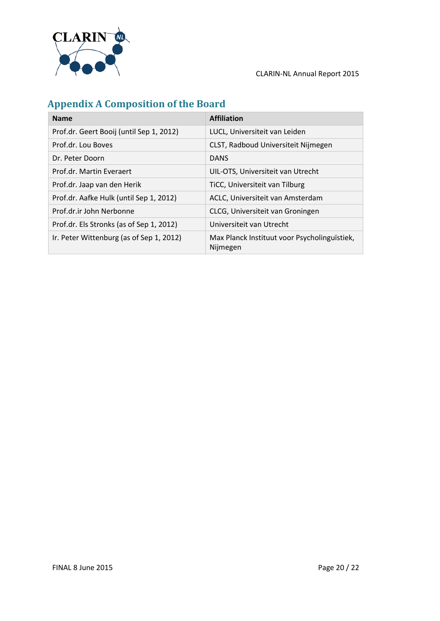

## <span id="page-19-0"></span>**Appendix A Composition of the Board**

| <b>Name</b>                              | <b>Affiliation</b>                                       |
|------------------------------------------|----------------------------------------------------------|
| Prof.dr. Geert Booij (until Sep 1, 2012) | LUCL, Universiteit van Leiden                            |
| Prof.dr. Lou Boves                       | CLST, Radboud Universiteit Nijmegen                      |
| Dr. Peter Doorn                          | <b>DANS</b>                                              |
| Prof.dr. Martin Everaert                 | UIL-OTS, Universiteit van Utrecht                        |
| Prof.dr. Jaap van den Herik              | TiCC, Universiteit van Tilburg                           |
| Prof.dr. Aafke Hulk (until Sep 1, 2012)  | ACLC, Universiteit van Amsterdam                         |
| Prof.dr.ir John Nerbonne                 | CLCG, Universiteit van Groningen                         |
| Prof.dr. Els Stronks (as of Sep 1, 2012) | Universiteit van Utrecht                                 |
| Ir. Peter Wittenburg (as of Sep 1, 2012) | Max Planck Instituut voor Psycholinguïstiek,<br>Nijmegen |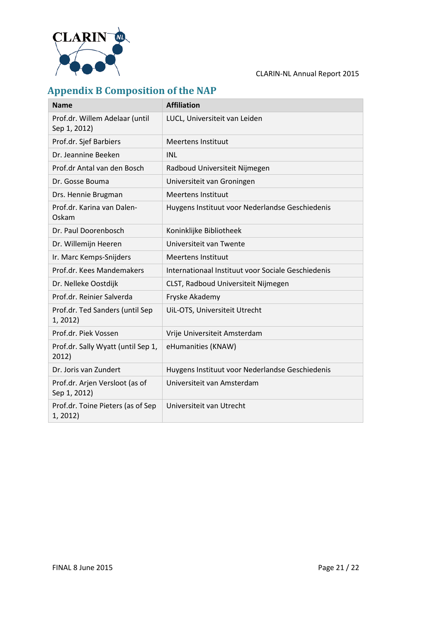

## <span id="page-20-0"></span>**Appendix B Composition of the NAP**

| <b>Name</b>                                    | <b>Affiliation</b>                                 |
|------------------------------------------------|----------------------------------------------------|
| Prof.dr. Willem Adelaar (until<br>Sep 1, 2012) | LUCL, Universiteit van Leiden                      |
| Prof.dr. Sjef Barbiers                         | <b>Meertens Instituut</b>                          |
| Dr. Jeannine Beeken                            | <b>INL</b>                                         |
| Prof.dr Antal van den Bosch                    | Radboud Universiteit Nijmegen                      |
| Dr. Gosse Bouma                                | Universiteit van Groningen                         |
| Drs. Hennie Brugman                            | <b>Meertens Instituut</b>                          |
| Prof.dr. Karina van Dalen-<br>Oskam            | Huygens Instituut voor Nederlandse Geschiedenis    |
| Dr. Paul Doorenbosch                           | Koninklijke Bibliotheek                            |
| Dr. Willemijn Heeren                           | Universiteit van Twente                            |
| Ir. Marc Kemps-Snijders                        | <b>Meertens Instituut</b>                          |
| Prof.dr. Kees Mandemakers                      | Internationaal Instituut voor Sociale Geschiedenis |
| Dr. Nelleke Oostdijk                           | CLST, Radboud Universiteit Nijmegen                |
| Prof.dr. Reinier Salverda                      | Fryske Akademy                                     |
| Prof.dr. Ted Sanders (until Sep<br>1, 2012)    | UiL-OTS, Universiteit Utrecht                      |
| Prof.dr. Piek Vossen                           | Vrije Universiteit Amsterdam                       |
| Prof.dr. Sally Wyatt (until Sep 1,<br>2012)    | eHumanities (KNAW)                                 |
| Dr. Joris van Zundert                          | Huygens Instituut voor Nederlandse Geschiedenis    |
| Prof.dr. Arjen Versloot (as of<br>Sep 1, 2012) | Universiteit van Amsterdam                         |
| Prof.dr. Toine Pieters (as of Sep<br>1, 2012)  | Universiteit van Utrecht                           |